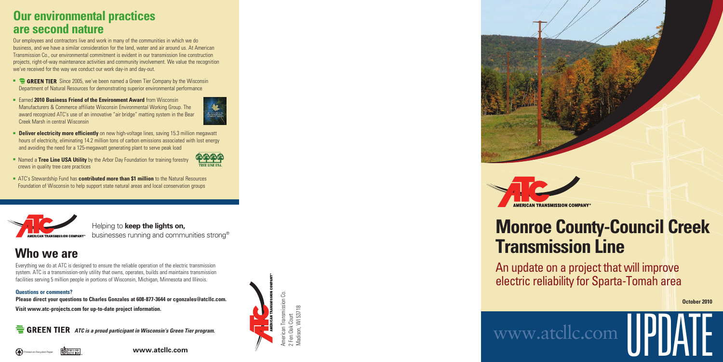

Madison, WI 53718





# **Monroe County-Council Creek Transmission Line**

**AMERICAN TRANSMISSION COMPANY** 

An update on a project that will improve electric reliability for Sparta-Tomah area

## **Who we are**

Everything we do at ATC is designed to ensure the reliable operation of the electric transmission system. ATC is a transmission-only utility that owns, operates, builds and maintains transmission facilities serving 5 million people in portions of Wisconsin, Michigan, Minnesota and Illinois.

#### **Questions or comments?**

**Printed on Recycled Paper** 

**Please direct your questions to Charles Gonzales at 608-877-3644 or cgonzales@atcllc.com. Visit www.atc-projects.com for up-to-date project information.**

**ATC IS ATC is a proud participant in Wisconsin's Green Tier program.** 

UPDATE

**October 2010**

## www.at cllc.com

## **Our environmental practices are second nature**

- **EXTEREN TIER** Since 2005, we've been named a Green Tier Company by the Wisconsin Department of Natural Resources for demonstrating superior environmental performance
- Earned 2010 Business Friend of the Environment Award from Wisconsin Manufacturers & Commerce affiliate Wisconsin Environmental Working Group. The award recognized ATC's use of an innovative "air bridge" matting system in the Bear Creek Marsh in central Wisconsin



Our employees and contractors live and work in many of the communities in which we do business, and we have a similar consideration for the land, water and air around us. At American Transmission Co., our environmental commitment is evident in our transmission line construction projects, right-of-way maintenance activities and community involvement. We value the recognition we've received for the way we conduct our work day-in and day-out.

- **Deliver electricity more efficiently** on new high-voltage lines, saving 15.3 million megawatt hours of electricity, eliminating 14.2 million tons of carbon emissions associated with lost energy and avoiding the need for a 125-megawatt generating plant to serve peak load
- Named a Tree Line USA Utility by the Arbor Day Foundation for training forestry crews in quality tree care practices
- ATC's Stewardship Fund has **contributed more than \$1 million** to the Natural Resources Foundation of Wisconsin to help support state natural areas and local conservation groups



**www.atcllc.com**

Helping to **keep the lights on,**  businesses running and communities stron g ®